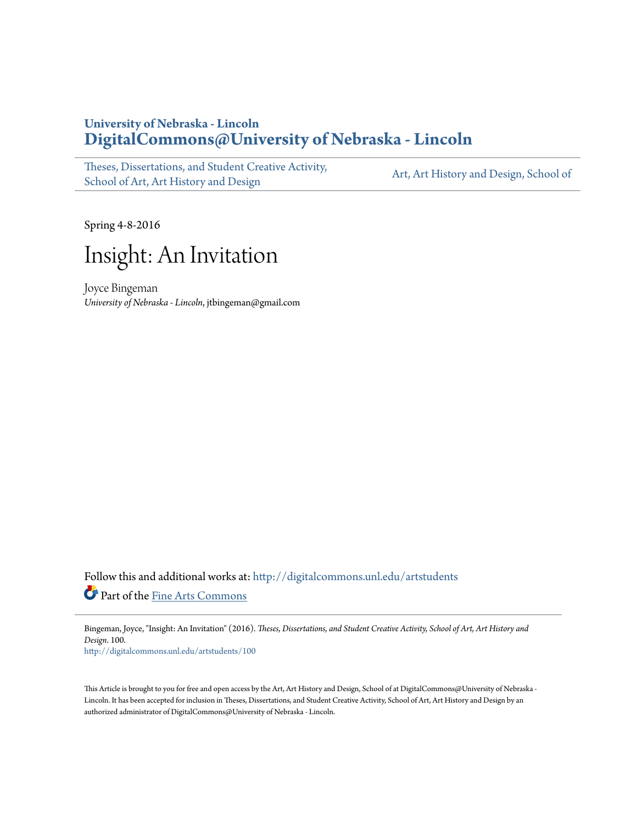## **University of Nebraska - Lincoln [DigitalCommons@University of Nebraska - Lincoln](http://digitalcommons.unl.edu?utm_source=digitalcommons.unl.edu%2Fartstudents%2F100&utm_medium=PDF&utm_campaign=PDFCoverPages)**

[Theses, Dissertations, and Student Creative Activity,](http://digitalcommons.unl.edu/artstudents?utm_source=digitalcommons.unl.edu%2Fartstudents%2F100&utm_medium=PDF&utm_campaign=PDFCoverPages) [School of Art, Art History and Design](http://digitalcommons.unl.edu/artstudents?utm_source=digitalcommons.unl.edu%2Fartstudents%2F100&utm_medium=PDF&utm_campaign=PDFCoverPages)

[Art, Art History and Design, School of](http://digitalcommons.unl.edu/art?utm_source=digitalcommons.unl.edu%2Fartstudents%2F100&utm_medium=PDF&utm_campaign=PDFCoverPages)

Spring 4-8-2016



Joyce Bingeman *University of Nebraska - Lincoln*, jtbingeman@gmail.com

Follow this and additional works at: [http://digitalcommons.unl.edu/artstudents](http://digitalcommons.unl.edu/artstudents?utm_source=digitalcommons.unl.edu%2Fartstudents%2F100&utm_medium=PDF&utm_campaign=PDFCoverPages) Part of the [Fine Arts Commons](http://network.bepress.com/hgg/discipline/1141?utm_source=digitalcommons.unl.edu%2Fartstudents%2F100&utm_medium=PDF&utm_campaign=PDFCoverPages)

Bingeman, Joyce, "Insight: An Invitation" (2016). *Theses, Dissertations, and Student Creative Activity, School of Art, Art History and Design*. 100.

[http://digitalcommons.unl.edu/artstudents/100](http://digitalcommons.unl.edu/artstudents/100?utm_source=digitalcommons.unl.edu%2Fartstudents%2F100&utm_medium=PDF&utm_campaign=PDFCoverPages)

This Article is brought to you for free and open access by the Art, Art History and Design, School of at DigitalCommons@University of Nebraska -Lincoln. It has been accepted for inclusion in Theses, Dissertations, and Student Creative Activity, School of Art, Art History and Design by an authorized administrator of DigitalCommons@University of Nebraska - Lincoln.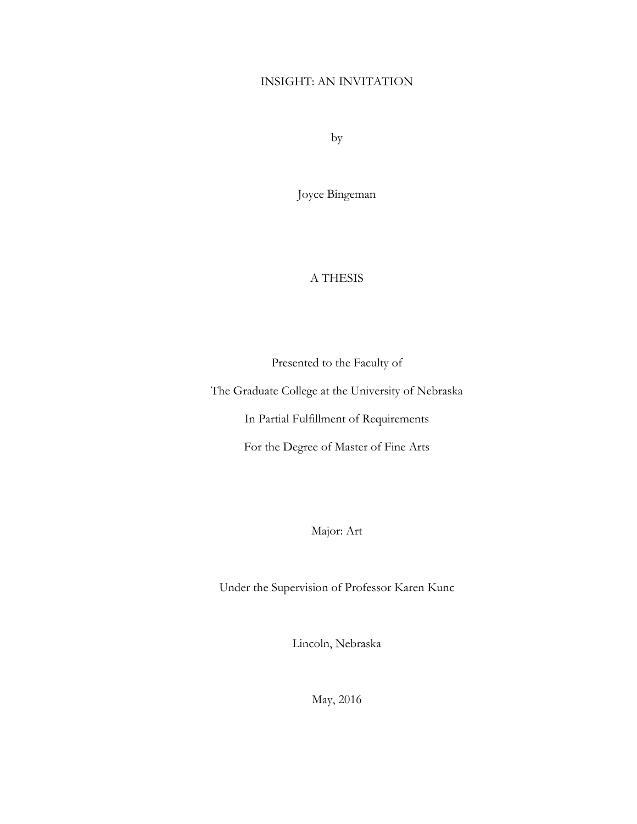## INSIGHT: AN INVITATION

by

Joyce Bingeman

## A THESIS

Presented to the Faculty of

The Graduate College at the University of Nebraska

In Partial Fulfillment of Requirements

For the Degree of Master of Fine Arts

Major: Art

Under the Supervision of Professor Karen Kunc

Lincoln, Nebraska

May, 2016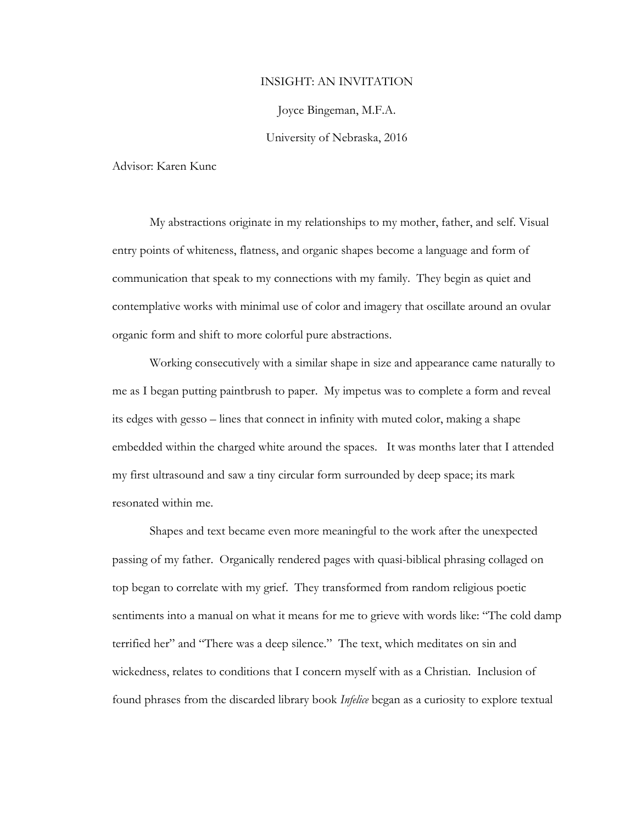## INSIGHT: AN INVITATION

Joyce Bingeman, M.F.A.

University of Nebraska, 2016

Advisor: Karen Kunc

My abstractions originate in my relationships to my mother, father, and self. Visual entry points of whiteness, flatness, and organic shapes become a language and form of communication that speak to my connections with my family. They begin as quiet and contemplative works with minimal use of color and imagery that oscillate around an ovular organic form and shift to more colorful pure abstractions.

Working consecutively with a similar shape in size and appearance came naturally to me as I began putting paintbrush to paper. My impetus was to complete a form and reveal its edges with gesso – lines that connect in infinity with muted color, making a shape embedded within the charged white around the spaces. It was months later that I attended my first ultrasound and saw a tiny circular form surrounded by deep space; its mark resonated within me.

Shapes and text became even more meaningful to the work after the unexpected passing of my father. Organically rendered pages with quasi-biblical phrasing collaged on top began to correlate with my grief. They transformed from random religious poetic sentiments into a manual on what it means for me to grieve with words like: "The cold damp terrified her" and "There was a deep silence." The text, which meditates on sin and wickedness, relates to conditions that I concern myself with as a Christian. Inclusion of found phrases from the discarded library book *Infelice* began as a curiosity to explore textual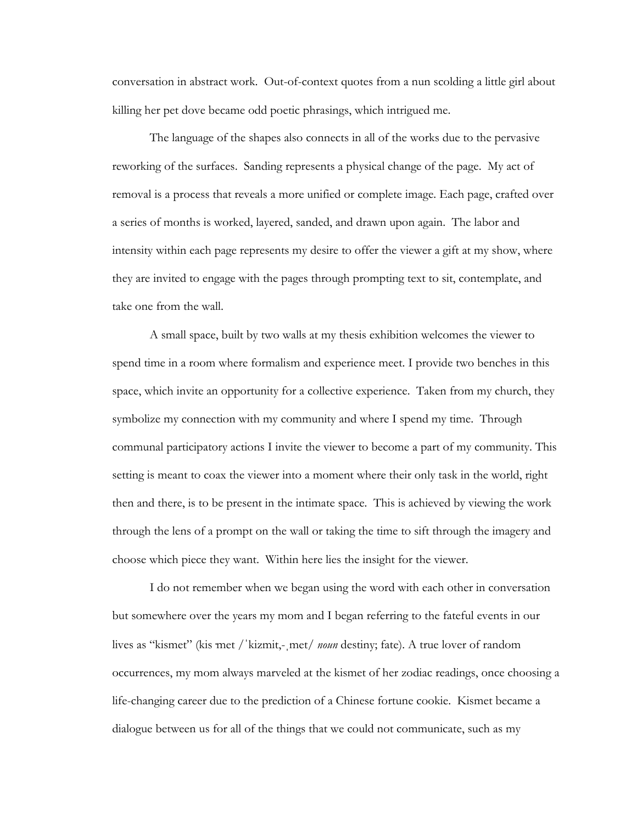conversation in abstract work. Out-of-context quotes from a nun scolding a little girl about killing her pet dove became odd poetic phrasings, which intrigued me.

The language of the shapes also connects in all of the works due to the pervasive reworking of the surfaces. Sanding represents a physical change of the page. My act of removal is a process that reveals a more unified or complete image. Each page, crafted over a series of months is worked, layered, sanded, and drawn upon again. The labor and intensity within each page represents my desire to offer the viewer a gift at my show, where they are invited to engage with the pages through prompting text to sit, contemplate, and take one from the wall.

A small space, built by two walls at my thesis exhibition welcomes the viewer to spend time in a room where formalism and experience meet. I provide two benches in this space, which invite an opportunity for a collective experience. Taken from my church, they symbolize my connection with my community and where I spend my time. Through communal participatory actions I invite the viewer to become a part of my community. This setting is meant to coax the viewer into a moment where their only task in the world, right then and there, is to be present in the intimate space. This is achieved by viewing the work through the lens of a prompt on the wall or taking the time to sift through the imagery and choose which piece they want. Within here lies the insight for the viewer.

I do not remember when we began using the word with each other in conversation but somewhere over the years my mom and I began referring to the fateful events in our lives as "kismet" (kis·met /ˈkizmit,-ˌmet/ *noun* destiny; fate). A true lover of random occurrences, my mom always marveled at the kismet of her zodiac readings, once choosing a life-changing career due to the prediction of a Chinese fortune cookie. Kismet became a dialogue between us for all of the things that we could not communicate, such as my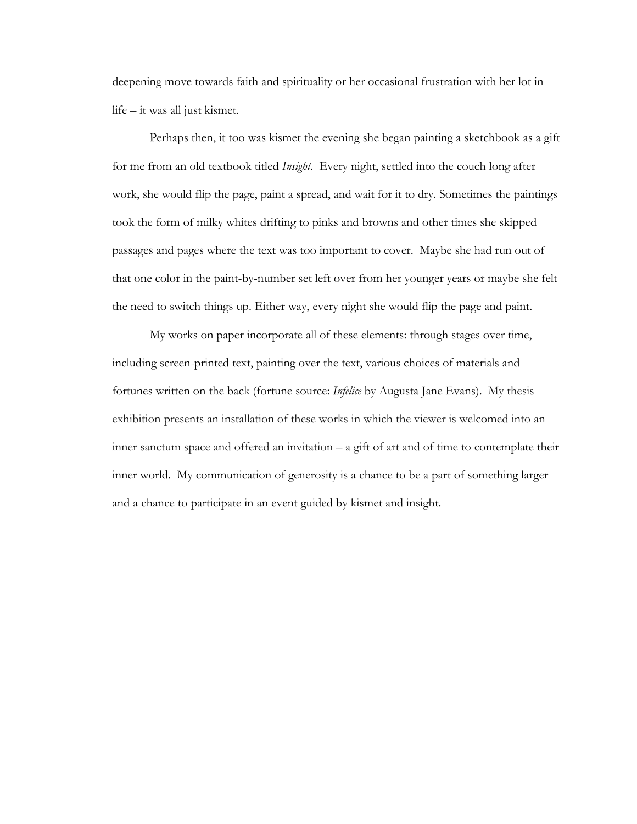deepening move towards faith and spirituality or her occasional frustration with her lot in life – it was all just kismet.

Perhaps then, it too was kismet the evening she began painting a sketchbook as a gift for me from an old textbook titled *Insight*. Every night, settled into the couch long after work, she would flip the page, paint a spread, and wait for it to dry. Sometimes the paintings took the form of milky whites drifting to pinks and browns and other times she skipped passages and pages where the text was too important to cover. Maybe she had run out of that one color in the paint-by-number set left over from her younger years or maybe she felt the need to switch things up. Either way, every night she would flip the page and paint.

My works on paper incorporate all of these elements: through stages over time, including screen-printed text, painting over the text, various choices of materials and fortunes written on the back (fortune source: *Infelice* by Augusta Jane Evans). My thesis exhibition presents an installation of these works in which the viewer is welcomed into an inner sanctum space and offered an invitation – a gift of art and of time to contemplate their inner world. My communication of generosity is a chance to be a part of something larger and a chance to participate in an event guided by kismet and insight.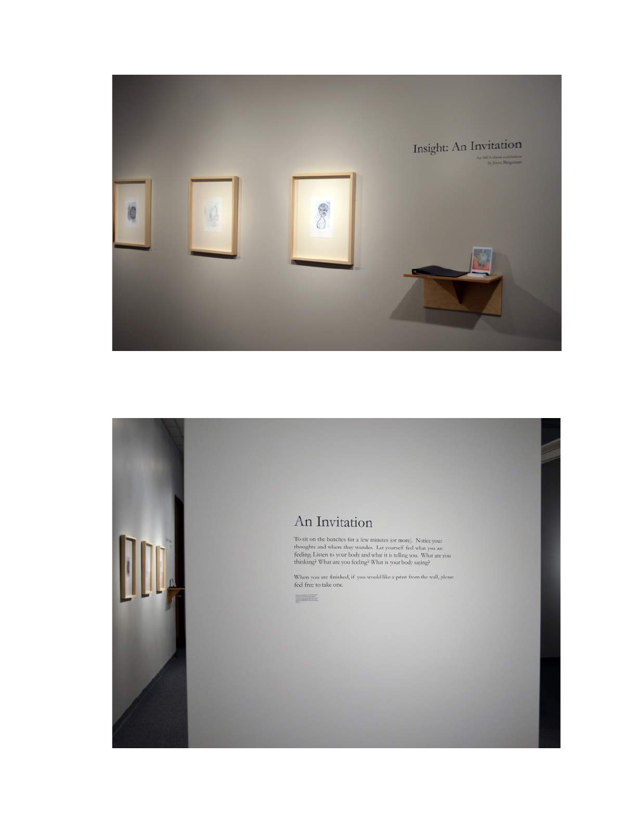

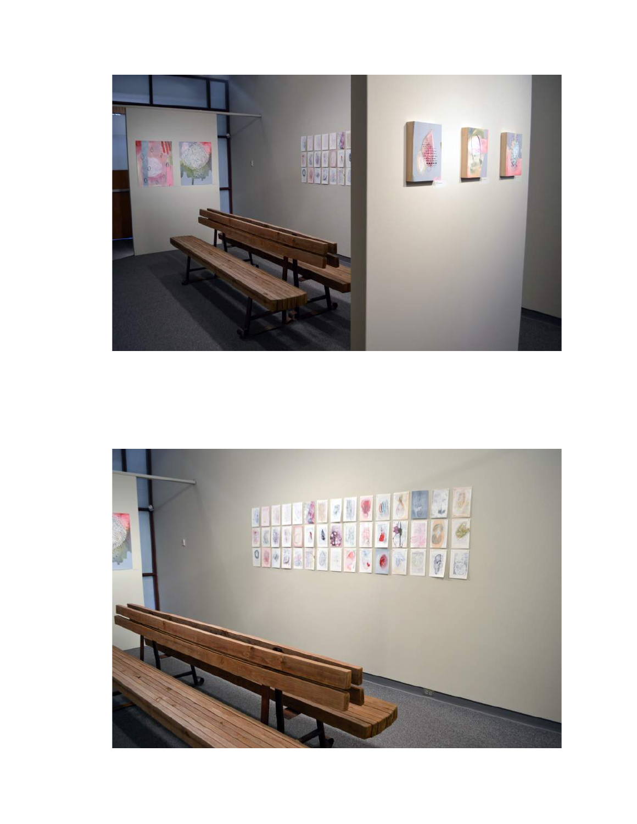

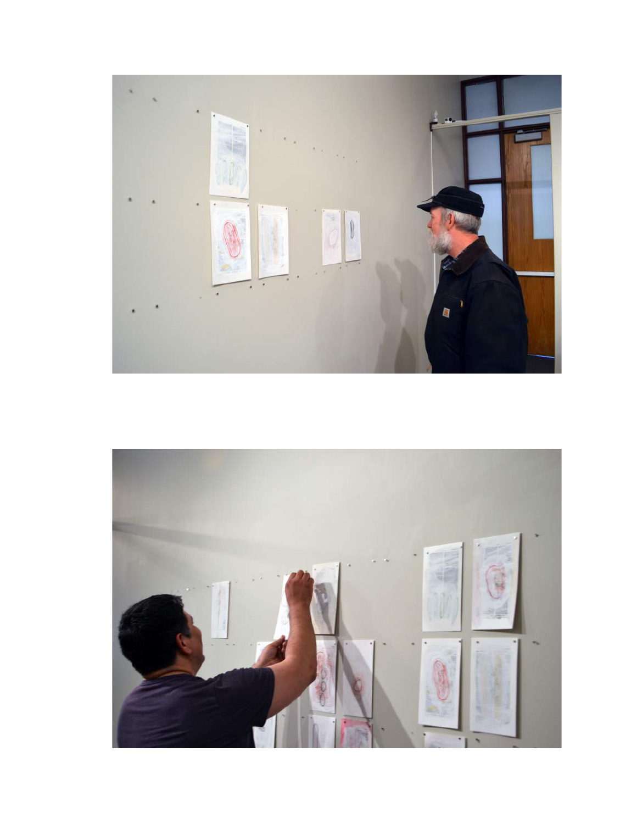

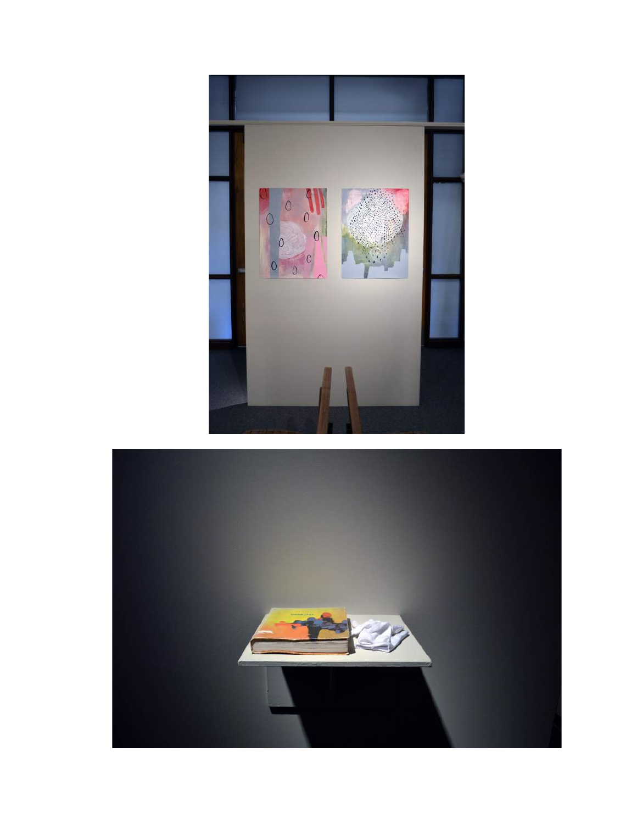

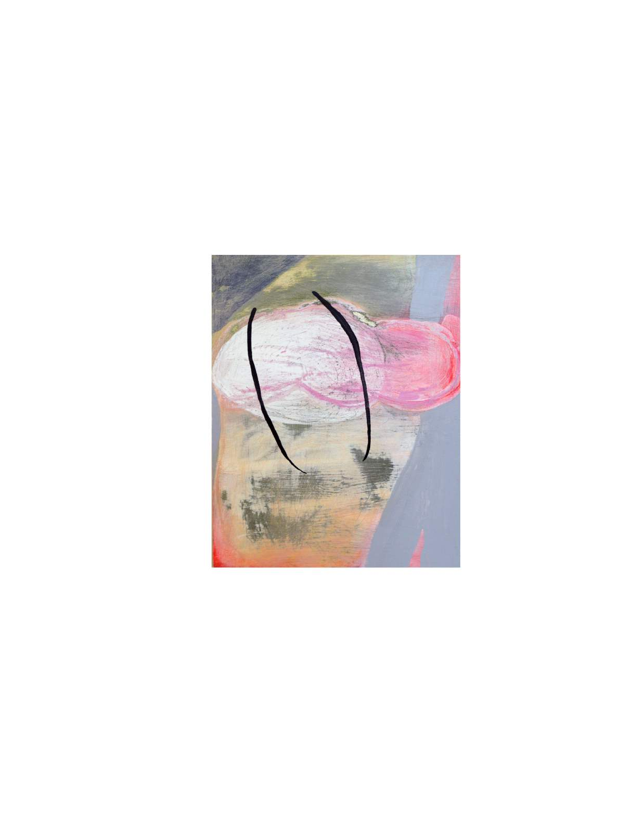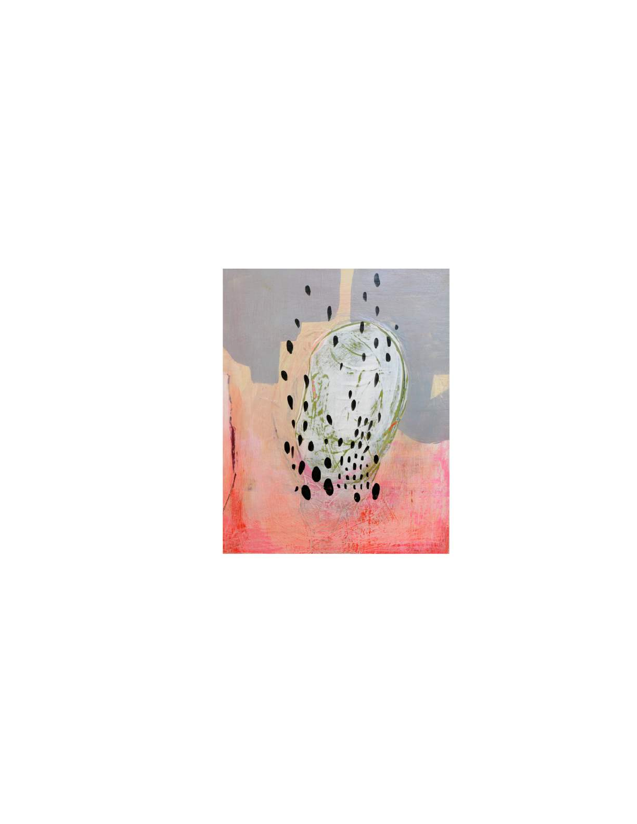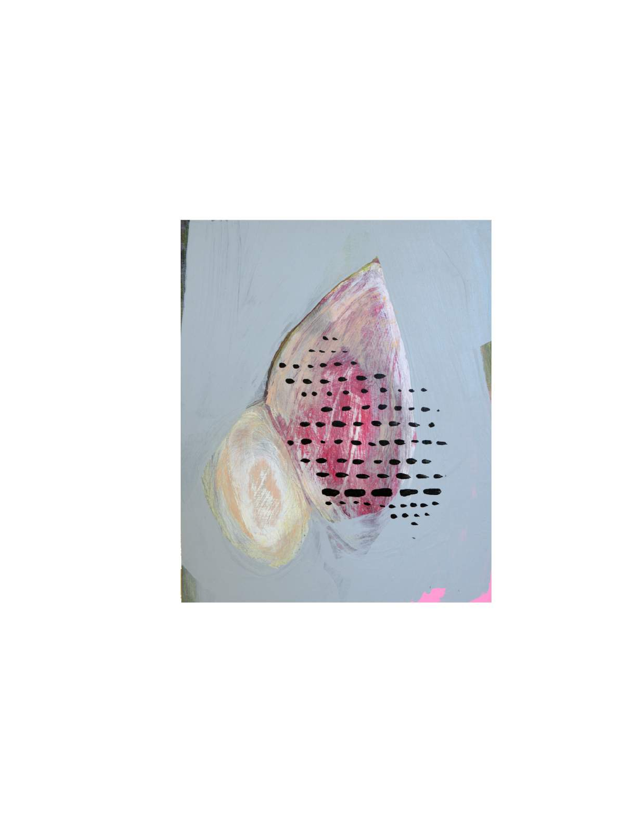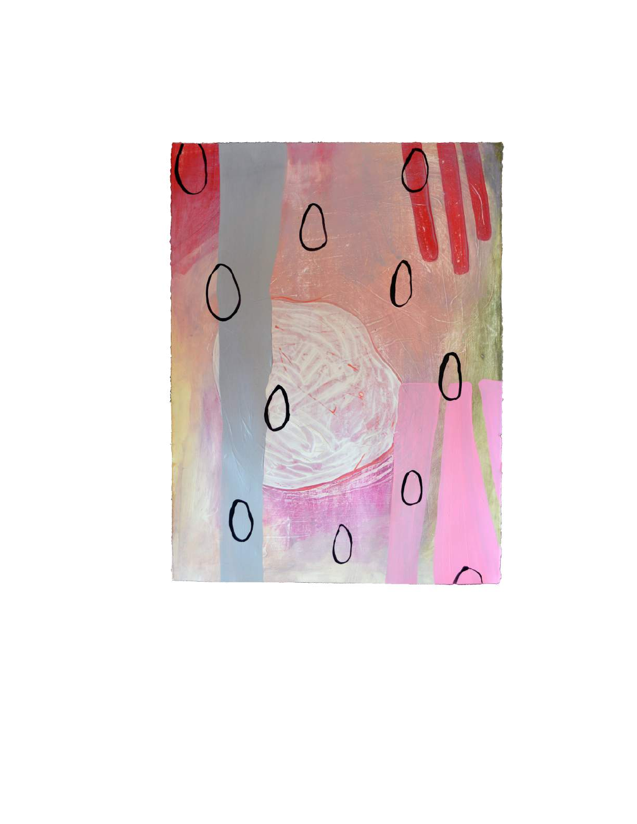